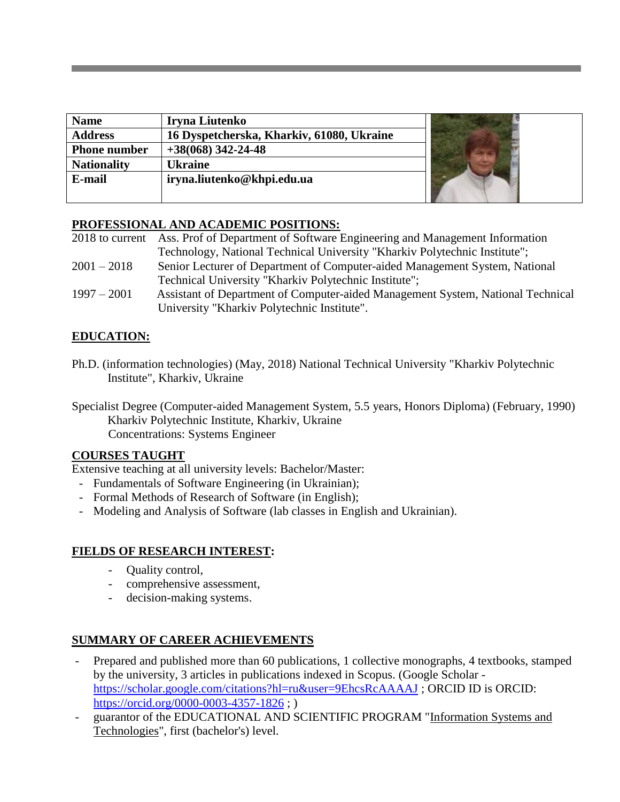| <b>Name</b>         | Iryna Liutenko                            |  |
|---------------------|-------------------------------------------|--|
| <b>Address</b>      | 16 Dyspetcherska, Kharkiv, 61080, Ukraine |  |
| <b>Phone number</b> | $+38(068)$ 342-24-48                      |  |
| <b>Nationality</b>  | <b>Ukraine</b>                            |  |
| E-mail              | iryna.liutenko@khpi.edu.ua                |  |
|                     |                                           |  |

#### **PROFESSIONAL AND ACADEMIC POSITIONS:**

|               | 2018 to current Ass. Prof of Department of Software Engineering and Management Information |  |
|---------------|--------------------------------------------------------------------------------------------|--|
|               | Technology, National Technical University "Kharkiv Polytechnic Institute";                 |  |
| $2001 - 2018$ | Senior Lecturer of Department of Computer-aided Management System, National                |  |
|               | Technical University "Kharkiv Polytechnic Institute";                                      |  |
| $1997 - 2001$ | Assistant of Department of Computer-aided Management System, National Technical            |  |
|               | University "Kharkiv Polytechnic Institute".                                                |  |

## **EDUCATION:**

Ph.D. (information technologies) (May, 2018) National Technical University "Kharkiv Polytechnic Institute", Kharkiv, Ukraine

Specialist Degree (Computer-aided Management System, 5.5 years, Honors Diploma) (February, 1990) Kharkiv Polytechnic Institute, Kharkiv, Ukraine Concentrations: Systems Engineer

#### **COURSES TAUGHT**

Extensive teaching at all university levels: Bachelor/Master:

- Fundamentals of Software Engineering (in Ukrainian);
- Formal Methods of Research of Software (in English);
- Modeling and Analysis of Software (lab classes in English and Ukrainian).

## **FIELDS OF RESEARCH INTEREST:**

- Quality control,
- comprehensive assessment,
- decision-making systems.

## **SUMMARY OF CAREER ACHIEVEMENTS**

- Prepared and published more than 60 publications, 1 collective monographs, 4 textbooks, stamped by the university, 3 articles in publications indexed in Scopus. (Google Scholar <https://scholar.google.com/citations?hl=ru&user=9EhcsRcAAAAJ> ; ORCID ID is ORCID: <https://orcid.org/0000-0003-4357-1826> ; )
- guarantor of the EDUCATIONAL AND SCIENTIFIC PROGRAM "Information Systems and Technologies", first (bachelor's) level.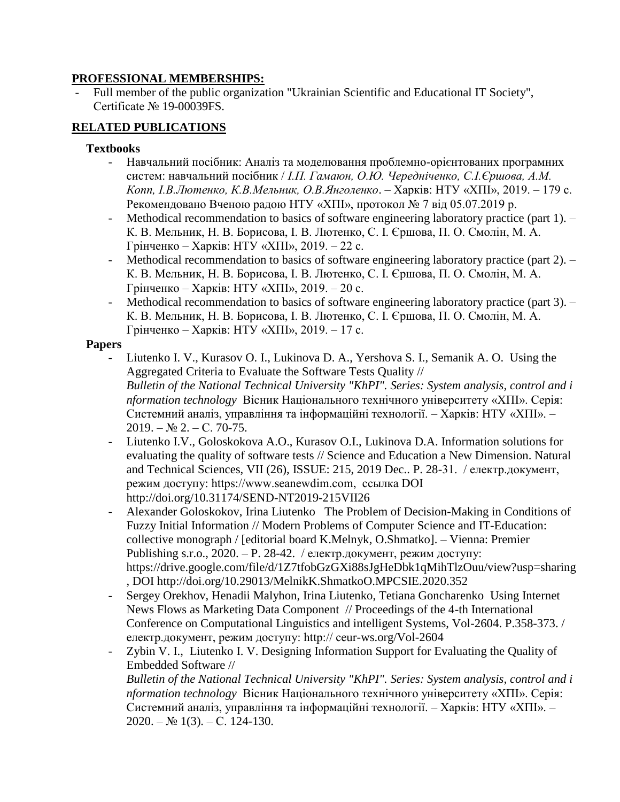#### **PROFESSIONAL MEMBERSHIPS:**

- Full member of the public organization "Ukrainian Scientific and Educational IT Society", Certificate № 19-00039FS.

# **RELATED PUBLICATIONS**

### **Textbooks**

- Навчальний посібник: Аналіз та моделювання проблемно-орієнтованих програмних систем: навчальний посібник / *І.П. Гамаюн, О.Ю. Чередніченко, С.І.Єршова, А.М. Копп, І.В.Лютенко, К.В.Мельник, О.В.Янголенко*. – Харків: НТУ «ХПІ», 2019. – 179 с. Рекомендовано Вченою радою НТУ «ХПІ», протокол № 7 від 05.07.2019 р.
- Methodical recommendation to basics of software engineering laboratory practice (part 1).  $-$ К. В. Мельник, Н. В. Борисова, І. В. Лютенко, С. І. Єршова, П. О. Смолін, М. А. Грінченко – Харків: НТУ «ХПІ», 2019. – 22 с.
- Methodical recommendation to basics of software engineering laboratory practice (part 2). К. В. Мельник, Н. В. Борисова, І. В. Лютенко, С. І. Єршова, П. О. Смолін, М. А. Грінченко – Харків: НТУ «ХПІ», 2019. – 20 с.
- Methodical recommendation to basics of software engineering laboratory practice (part 3). К. В. Мельник, Н. В. Борисова, І. В. Лютенко, С. І. Єршова, П. О. Смолін, М. А. Грінченко – Харків: НТУ «ХПІ», 2019. – 17 с.

#### **Papers**

- Liutenko I. V., Kurasov O. I., Lukinova D. A., Yershova S. I., Semanik A. O. Using the Aggregated Criteria to Evaluate the Software Tests Quality // *Bulletin of the National Technical University "KhPI". Series: System analysis, control and i nformation technology* Вісник Національного технічного університету «ХПІ». Серія: Системний аналіз, управління та інформаційні технології. – Харків: НТУ «ХПІ». –  $2019. - N<sub>2</sub> 2. - C. 70-75.$
- Liutenko I.V., Goloskokova A.O., Kurasov O.I., Lukinova D.A. Information solutions for evaluating the quality of software tests // Science and Education a New Dimension. Natural and Technical Sciences, VII (26), ISSUE: 215, 2019 Dec.. P. 28-31. / електр.документ, режим доступу: https://www.seanewdim.com, ссылка DOI <http://doi.org/10.31174/SEND-NT2019-215VII26>
- Alexander Goloskokov, Irina Liutenko The Problem of Decision-Making in Conditions of Fuzzy Initial Information // Modern Problems of Computer Science and IT-Education: collective monograph / [editorial board K.Melnyk, O.Shmatko]. – Vienna: Premier Publishing s.r.o.,  $2020 - P. 28-42$ . / електр.документ, режим доступу: <https://drive.google.com/file/d/1Z7tfobGzGXi88sJgHeDbk1qMihTlzOuu/view?usp=sharing> , DOI <http://doi.org/10.29013/MelnikK.ShmatkoO.MPCSIE.2020.352>
- Sergey Orekhov, Henadii Malyhon, Irina Liutenko, Tetiana Goncharenko Using Internet News Flows as Marketing Data Component // Proceedings of the 4-th International Conference on Computational Linguistics and intelligent Systems, Vol-2604. P.358-373. / електр.документ, режим доступу: http:// ceur-ws.org/Vol-2604
- Zybin V. I., Liutenko I. V. Designing Information Support for Evaluating the Quality of Embedded Software //

*Bulletin of the National Technical University "KhPI". Series: System analysis, control and i nformation technology* Вісник Національного технічного університету «ХПІ». Серія: Системний аналіз, управління та інформаційні технології. – Харків: НТУ «ХПІ». –  $2020. - N_2$  1(3). – C. 124-130.